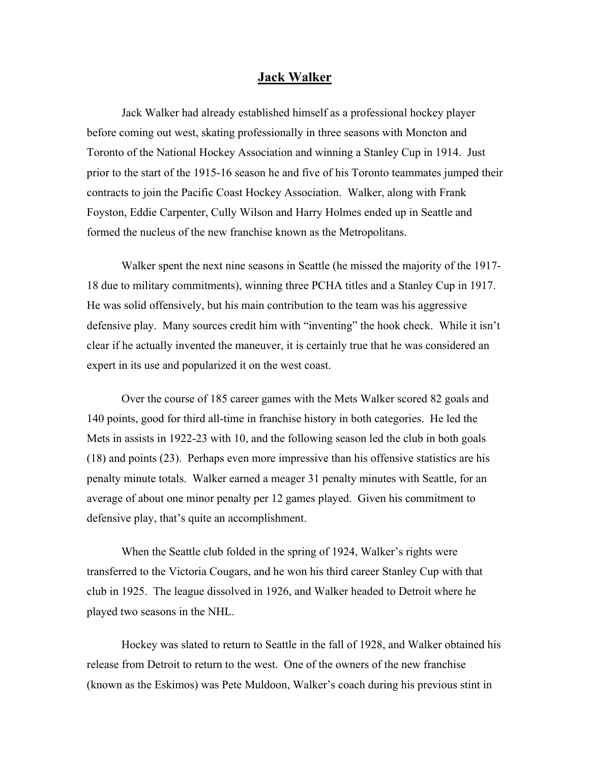## **Jack Walker**

Jack Walker had already established himself as a professional hockey player before coming out west, skating professionally in three seasons with Moncton and Toronto of the National Hockey Association and winning a Stanley Cup in 1914. Just prior to the start of the 1915-16 season he and five of his Toronto teammates jumped their contracts to join the Pacific Coast Hockey Association. Walker, along with Frank Foyston, Eddie Carpenter, Cully Wilson and Harry Holmes ended up in Seattle and formed the nucleus of the new franchise known as the Metropolitans.

Walker spent the next nine seasons in Seattle (he missed the majority of the 1917- 18 due to military commitments), winning three PCHA titles and a Stanley Cup in 1917. He was solid offensively, but his main contribution to the team was his aggressive defensive play. Many sources credit him with "inventing" the hook check. While it isn't clear if he actually invented the maneuver, it is certainly true that he was considered an expert in its use and popularized it on the west coast.

Over the course of 185 career games with the Mets Walker scored 82 goals and 140 points, good for third all-time in franchise history in both categories. He led the Mets in assists in 1922-23 with 10, and the following season led the club in both goals (18) and points (23). Perhaps even more impressive than his offensive statistics are his penalty minute totals. Walker earned a meager 31 penalty minutes with Seattle, for an average of about one minor penalty per 12 games played. Given his commitment to defensive play, that's quite an accomplishment.

When the Seattle club folded in the spring of 1924, Walker's rights were transferred to the Victoria Cougars, and he won his third career Stanley Cup with that club in 1925. The league dissolved in 1926, and Walker headed to Detroit where he played two seasons in the NHL.

Hockey was slated to return to Seattle in the fall of 1928, and Walker obtained his release from Detroit to return to the west. One of the owners of the new franchise (known as the Eskimos) was Pete Muldoon, Walker's coach during his previous stint in